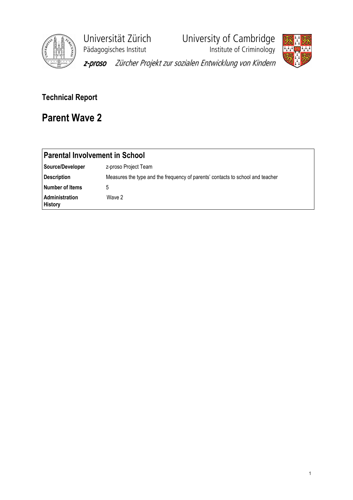

Universität Zürich University of Cambridge<br>Pädagogisches Institut Institute of Criminology

**Phagagogisches**<br>Institute of Criminology



z-proso Zürcher Projekt zur sozialen Entwicklung von Kindern

## Technical Report

# Parent Wave 2

| <b>Parental Involvement in School</b> |                                                                                |  |  |  |  |
|---------------------------------------|--------------------------------------------------------------------------------|--|--|--|--|
| Source/Developer                      | z-proso Project Team                                                           |  |  |  |  |
| <b>Description</b>                    | Measures the type and the frequency of parents' contacts to school and teacher |  |  |  |  |
| Number of Items                       | 5                                                                              |  |  |  |  |
| Administration<br><b>History</b>      | Wave 2                                                                         |  |  |  |  |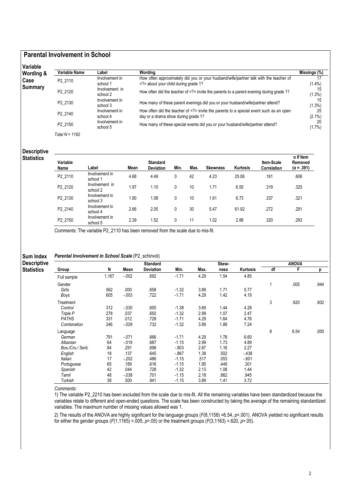## Parental Involvement in School

| <b>Wording &amp;</b> | Variable Name  | Label                      | Wordina                                                                                                                   | Missings (%)     |
|----------------------|----------------|----------------------------|---------------------------------------------------------------------------------------------------------------------------|------------------|
| Case                 | P2 2110        | Involvement in<br>school 1 | How often approximately did you or your husband/wife/partner talk with the teacher of<br>about your child during grade 1? | 17<br>$(1.4\%)$  |
| Summary              | P2 2120        | Involvement in<br>school 2 | How often did the teacher of invite the parents to a parent evening during grade 1?                                       | 15<br>(1.3%)     |
|                      | P2 2130        | Involvement in<br>school 3 | How many of these parent evenings did you or your husband/wife/partner attend?                                            | 15<br>$(1.3\%)$  |
|                      | P2 2140        | Involvement in<br>school 4 | How often did the teacher of invite the parents to a special event such as an open<br>day or a drama show during grade 1? | 25<br>$(2.1\%)$  |
|                      | P2 2150        | Involvement in<br>school 5 | How many of these special events did you or your husband/wife/partner attend?                                             | -20<br>$(1.7\%)$ |
|                      | Total N = 1192 |                            |                                                                                                                           |                  |

### Descriptive **Statistics**

| Variable<br>Name | Label                      | Mean | <b>Standard</b><br><b>Deviation</b> | Min. | Max. | <b>Skewness</b> | <b>Kurtosis</b> | Item-Scale<br><b>Correlation</b> | $\alpha$ If Item<br>Removed<br>$(\alpha = .391)$ |
|------------------|----------------------------|------|-------------------------------------|------|------|-----------------|-----------------|----------------------------------|--------------------------------------------------|
| P2 2110          | Involvement in<br>school 1 | 4.68 | 4.49                                |      | 42   | 4.23            | 25.06           | .161                             | .606                                             |
| P2 2120          | Involvement in<br>school 2 | 1.97 | 1.10                                | 0    | 10   | 1.71            | 6.55            | .319                             | .325                                             |
| P2 2130          | Involvement in<br>school 3 | 1.90 | 1.08                                | 0    | 10   | 1.61            | 6.73            | .337                             | .321                                             |
| P2 2140          | Involvement in<br>school 4 | 2.66 | 2.05                                | 0    | 30   | 5.47            | 61.92           | .272                             | .291                                             |
| P2 2150          | Involvement in<br>school 5 | 2.39 | 1.52                                | 0    | 11   | 1.02            | 2.88            | .320                             | .293                                             |

Comments: The variable P2\_2110 has been removed from the scale due to mis-fit.

### Sum Index Parental Involvement in School Scale (P2\_schinvol)

| <b>Descriptive</b> |                  |       |          | <b>Standard</b>  |         |      | Skew- |          |    | <b>ANOVA</b> |      |
|--------------------|------------------|-------|----------|------------------|---------|------|-------|----------|----|--------------|------|
| <b>Statistics</b>  | Group            | N     | Mean     | <b>Deviation</b> | Min.    | Max. | ness  | Kurtosis | df | F            | n    |
|                    | Full sample      | 1,167 | $-0.002$ | .692             | $-1.71$ | 4.29 | 1.54  | 4.85     |    |              |      |
|                    | Gender           |       |          |                  |         |      |       |          | 1  | .005         | .944 |
|                    | Girls            | 562   | .000     | .658             | $-1.32$ | 3.89 | 1.71  | 5.77     |    |              |      |
|                    | Boys             | 605   | $-0.003$ | .722             | $-1.71$ | 4.29 | 1.42  | 4.19     |    |              |      |
|                    | Treatment        |       |          |                  |         |      |       |          | 3  | .620         | .602 |
|                    | Control          | 312   | $-0.030$ | .655             | $-1.38$ | 3.69 | 1.44  | 4.28     |    |              |      |
|                    | Triple P         | 278   | .037     | .650             | $-1.32$ | 2.99 | 1.07  | 2.47     |    |              |      |
|                    | <b>PATHS</b>     | 331   | .012     | .728             | $-1.71$ | 4.29 | 1.64  | 4.76     |    |              |      |
|                    | Combination      | 246   | $-0.029$ | .732             | $-1.32$ | 3.89 | 1.89  | 7.24     |    |              |      |
|                    | Language         |       |          |                  |         |      |       |          | 8  | 6.54         | .000 |
|                    | German           | 791   | $-.071$  | .666             | $-1.71$ | 4.29 | 1.78  | 6.60     |    |              |      |
|                    | Albanian         | 64    | $-0.19$  | .687             | $-1.15$ | 2.99 | 1.73  | 4.89     |    |              |      |
|                    | Bos./Cro./ Serb. | 84    | .291     | .698             | $-903$  | 2.87 | 1.16  | 2.27     |    |              |      |
|                    | English          | 18    | .137     | .645             | $-867$  | 1.38 | .502  | $-438$   |    |              |      |
|                    | Italian          | 17    | $-202$   | .486             | $-1.15$ | .517 | .053  | $-601$   |    |              |      |
|                    | Portuguese       | 65    | .189     | .616             | $-1.15$ | 1.95 | .449  | .301     |    |              |      |
|                    | Spanish          | 42    | .044     | .728             | $-1.32$ | 2.13 | 1.08  | 1.44     |    |              |      |
|                    | Tamil            | 48    | $-0.038$ | .701             | $-1.15$ | 2.18 | .862  | .945     |    |              |      |
|                    | Turkish          | 38    | .500     | .941             | $-1.15$ | 3.89 | 1.41  | 3.72     |    |              |      |

Comments:

1) The variable P2\_2210 has been excluded from the scale due to mis-fit. All the remaining variables have been standardized because the variables relate to different and open-ended questions. The scale has been constructed by taking the average of the remaining standardized variables. The maximum number of missing values allowed was 1.

2) The results of the ANOVA are highly significant for the language groups  $(F(8,1158) = 6.54, p < .001)$ . ANOVA yielded no significant results for either the gender groups  $(F(1,1165) = .005, p > .05)$  or the treatment groups  $(F(3,1163) = .620, p > .05)$ .